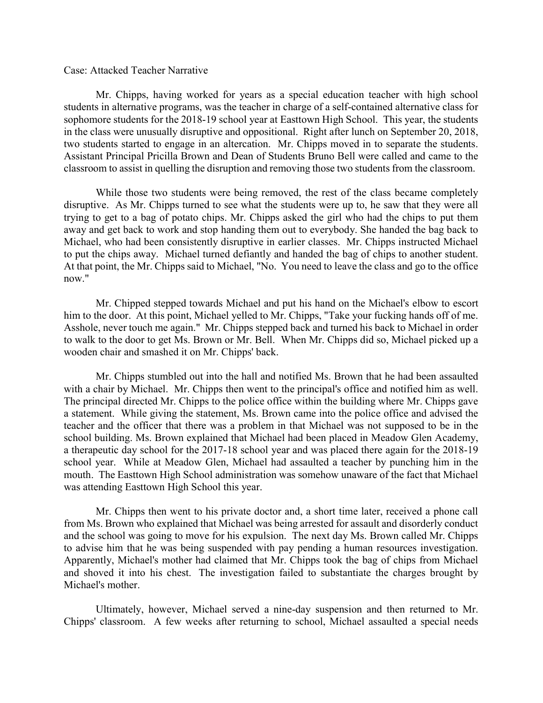## Case: Attacked Teacher Narrative

 Mr. Chipps, having worked for years as a special education teacher with high school students in alternative programs, was the teacher in charge of a self-contained alternative class for sophomore students for the 2018-19 school year at Easttown High School. This year, the students in the class were unusually disruptive and oppositional. Right after lunch on September 20, 2018, two students started to engage in an altercation. Mr. Chipps moved in to separate the students. Assistant Principal Pricilla Brown and Dean of Students Bruno Bell were called and came to the classroom to assist in quelling the disruption and removing those two students from the classroom.

 While those two students were being removed, the rest of the class became completely disruptive. As Mr. Chipps turned to see what the students were up to, he saw that they were all trying to get to a bag of potato chips. Mr. Chipps asked the girl who had the chips to put them away and get back to work and stop handing them out to everybody. She handed the bag back to Michael, who had been consistently disruptive in earlier classes. Mr. Chipps instructed Michael to put the chips away. Michael turned defiantly and handed the bag of chips to another student. At that point, the Mr. Chipps said to Michael, "No. You need to leave the class and go to the office now."

 Mr. Chipped stepped towards Michael and put his hand on the Michael's elbow to escort him to the door. At this point, Michael yelled to Mr. Chipps, "Take your fucking hands off of me. Asshole, never touch me again." Mr. Chipps stepped back and turned his back to Michael in order to walk to the door to get Ms. Brown or Mr. Bell. When Mr. Chipps did so, Michael picked up a wooden chair and smashed it on Mr. Chipps' back.

 Mr. Chipps stumbled out into the hall and notified Ms. Brown that he had been assaulted with a chair by Michael. Mr. Chipps then went to the principal's office and notified him as well. The principal directed Mr. Chipps to the police office within the building where Mr. Chipps gave a statement. While giving the statement, Ms. Brown came into the police office and advised the teacher and the officer that there was a problem in that Michael was not supposed to be in the school building. Ms. Brown explained that Michael had been placed in Meadow Glen Academy, a therapeutic day school for the 2017-18 school year and was placed there again for the 2018-19 school year. While at Meadow Glen, Michael had assaulted a teacher by punching him in the mouth. The Easttown High School administration was somehow unaware of the fact that Michael was attending Easttown High School this year.

 Mr. Chipps then went to his private doctor and, a short time later, received a phone call from Ms. Brown who explained that Michael was being arrested for assault and disorderly conduct and the school was going to move for his expulsion. The next day Ms. Brown called Mr. Chipps to advise him that he was being suspended with pay pending a human resources investigation. Apparently, Michael's mother had claimed that Mr. Chipps took the bag of chips from Michael and shoved it into his chest. The investigation failed to substantiate the charges brought by Michael's mother.

 Ultimately, however, Michael served a nine-day suspension and then returned to Mr. Chipps' classroom. A few weeks after returning to school, Michael assaulted a special needs